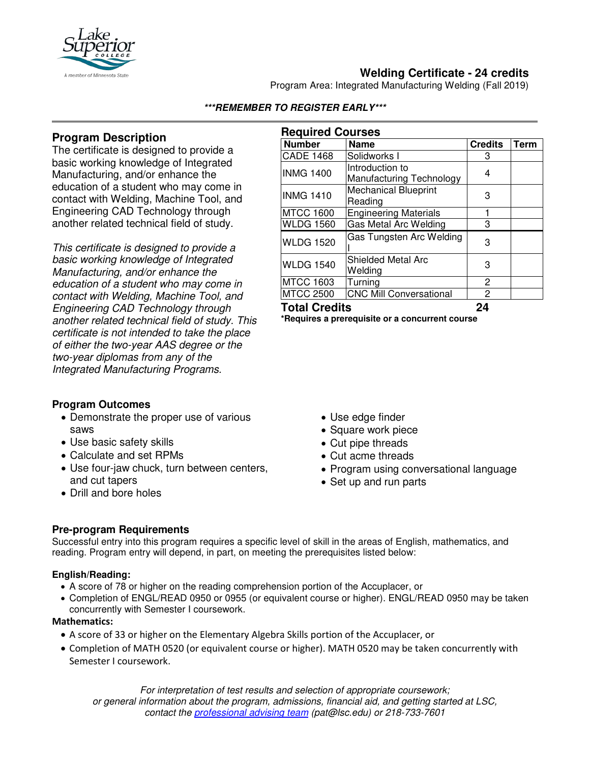

# **Welding Certificate - 24 credits**

Program Area: Integrated Manufacturing Welding (Fall 2019)

## **Program Description**

The certificate is designed to provide a basic working knowledge of Integrated Manufacturing, and/or enhance the education of a student who may come in contact with Welding, Machine Tool, and Engineering CAD Technology through another related technical field of study.

*This certificate is designed to provide a basic working knowledge of Integrated Manufacturing, and/or enhance the education of a student who may come in contact with Welding, Machine Tool, and Engineering CAD Technology through another related technical field of study. This certificate is not intended to take the place of either the two-year AAS degree or the two-year diplomas from any of the Integrated Manufacturing Programs.*

## **Program Outcomes**

- Demonstrate the proper use of various saws
- Use basic safety skills
- Calculate and set RPMs
- Use four-jaw chuck, turn between centers, and cut tapers
- Drill and bore holes

### **Required Courses**

**\*\*\*REMEMBER TO REGISTER EARLY\*\*\***

| <b>Number</b>        | <b>Name</b>                                 | <b>Credits</b> | <b>Term</b> |
|----------------------|---------------------------------------------|----------------|-------------|
| <b>CADE 1468</b>     | Solidworks I                                | 3              |             |
| <b>INMG 1400</b>     | Introduction to<br>Manufacturing Technology | 4              |             |
| <b>INMG 1410</b>     | <b>Mechanical Blueprint</b><br>Reading      | 3              |             |
| <b>MTCC 1600</b>     | <b>Engineering Materials</b>                |                |             |
| <b>WLDG 1560</b>     | Gas Metal Arc Welding                       | 3              |             |
| <b>WLDG 1520</b>     | Gas Tungsten Arc Welding                    | 3              |             |
| <b>WLDG 1540</b>     | <b>Shielded Metal Arc</b><br>Welding        | 3              |             |
| <b>MTCC 1603</b>     | Turning                                     | 2              |             |
| <b>MTCC 2500</b>     | <b>CNC Mill Conversational</b>              | 2              |             |
| <b>Total Credits</b> |                                             | 24             |             |

**\*Requires a prerequisite or a concurrent course**

- Use edge finder
- Square work piece
- Cut pipe threads
- Cut acme threads
- Program using conversational language
- Set up and run parts

## **Pre-program Requirements**

Successful entry into this program requires a specific level of skill in the areas of English, mathematics, and reading. Program entry will depend, in part, on meeting the prerequisites listed below:

#### **English/Reading:**

- A score of 78 or higher on the reading comprehension portion of the Accuplacer, or
- Completion of ENGL/READ 0950 or 0955 (or equivalent course or higher). ENGL/READ 0950 may be taken concurrently with Semester I coursework.

#### **Mathematics:**

- A score of 33 or higher on the Elementary Algebra Skills portion of the Accuplacer, or
- Completion of MATH 0520 (or equivalent course or higher). MATH 0520 may be taken concurrently with Semester I coursework.

*For interpretation of test results and selection of appropriate coursework; or general information about the program, admissions, financial aid, and getting started at LSC, contact the [professional advising team](mailto:pat@lsc.edu) (pat@lsc.edu) or 218-733-7601*